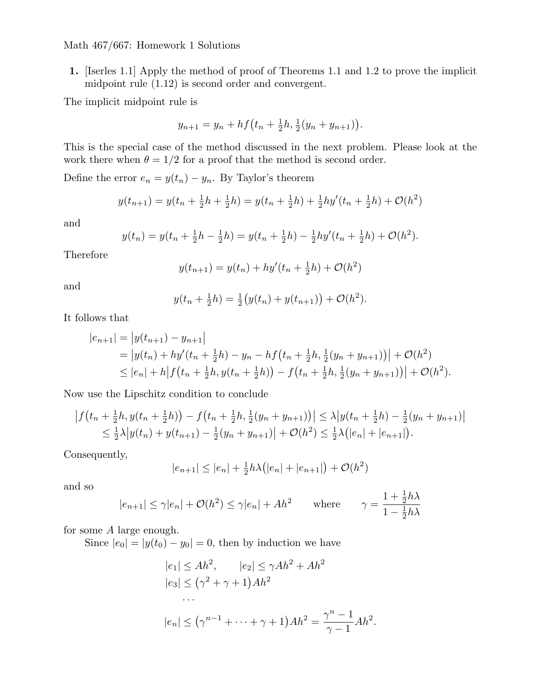**1.** [Iserles 1.1] Apply the method of proof of Theorems 1.1 and 1.2 to prove the implicit midpoint rule (1.12) is second order and convergent.

The implicit midpoint rule is

$$
y_{n+1} = y_n + h f(t_n + \frac{1}{2}h, \frac{1}{2}(y_n + y_{n+1})).
$$

This is the special case of the method discussed in the next problem. Please look at the work there when  $\theta = 1/2$  for a proof that the method is second order.

Define the error  $e_n = y(t_n) - y_n$ . By Taylor's theorem

$$
y(t_{n+1}) = y(t_n + \frac{1}{2}h + \frac{1}{2}h) = y(t_n + \frac{1}{2}h) + \frac{1}{2}hy'(t_n + \frac{1}{2}h) + \mathcal{O}(h^2)
$$

and

$$
y(t_n) = y(t_n + \frac{1}{2}h - \frac{1}{2}h) = y(t_n + \frac{1}{2}h) - \frac{1}{2}hy'(t_n + \frac{1}{2}h) + \mathcal{O}(h^2).
$$

Therefore

$$
y(t_{n+1}) = y(t_n) + hy'(t_n + \frac{1}{2}h) + \mathcal{O}(h^2)
$$

and

$$
y(t_n + \frac{1}{2}h) = \frac{1}{2}(y(t_n) + y(t_{n+1})) + \mathcal{O}(h^2).
$$

It follows that

$$
|e_{n+1}| = |y(t_{n+1}) - y_{n+1}|
$$
  
=  $|y(t_n) + hy'(t_n + \frac{1}{2}h) - y_n - hf(t_n + \frac{1}{2}h, \frac{1}{2}(y_n + y_{n+1}))| + \mathcal{O}(h^2)$   
 $\leq |e_n| + h|f(t_n + \frac{1}{2}h, y(t_n + \frac{1}{2}h)) - f(t_n + \frac{1}{2}h, \frac{1}{2}(y_n + y_{n+1}))| + \mathcal{O}(h^2).$ 

Now use the Lipschitz condition to conclude

$$
\left| f(t_n + \frac{1}{2}h, y(t_n + \frac{1}{2}h)) - f(t_n + \frac{1}{2}h, \frac{1}{2}(y_n + y_{n+1})) \right| \leq \lambda \left| y(t_n + \frac{1}{2}h) - \frac{1}{2}(y_n + y_{n+1}) \right|
$$
  
\n
$$
\leq \frac{1}{2}\lambda \left| y(t_n) + y(t_{n+1}) - \frac{1}{2}(y_n + y_{n+1}) \right| + \mathcal{O}(h^2) \leq \frac{1}{2}\lambda \left( |e_n| + |e_{n+1}| \right).
$$

Consequently,

$$
|e_{n+1}| \le |e_n| + \frac{1}{2}h\lambda(|e_n| + |e_{n+1}|) + \mathcal{O}(h^2)
$$

and so

$$
|e_{n+1}| \le \gamma |e_n| + \mathcal{O}(h^2) \le \gamma |e_n| + Ah^2
$$
 where  $\gamma = \frac{1 + \frac{1}{2}h\lambda}{1 - \frac{1}{2}h\lambda}$ 

for some *A* large enough.

Since  $|e_0| = |y(t_0) - y_0| = 0$ , then by induction we have

$$
|e_1| \le Ah^2, \qquad |e_2| \le \gamma Ah^2 + Ah^2
$$
  
\n
$$
|e_3| \le (\gamma^2 + \gamma + 1)Ah^2
$$
  
\n...  
\n
$$
|e_n| \le (\gamma^{n-1} + \dots + \gamma + 1)Ah^2 = \frac{\gamma^n - 1}{\gamma - 1}Ah^2.
$$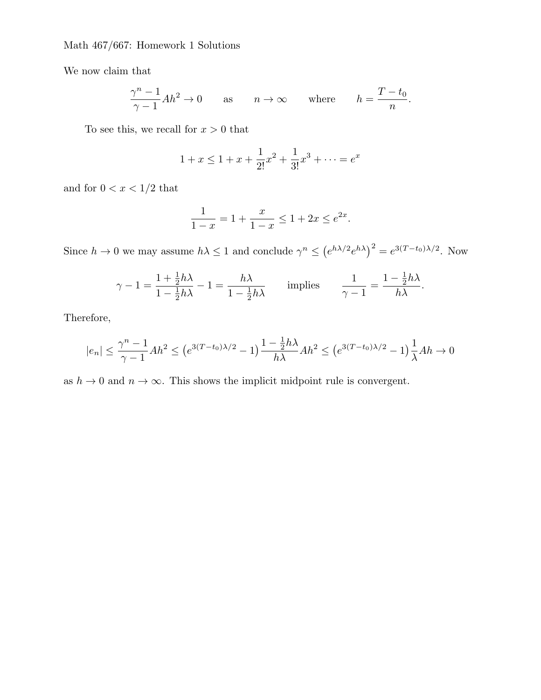We now claim that

$$
\frac{\gamma^n - 1}{\gamma - 1} Ah^2 \to 0 \quad \text{as} \quad n \to \infty \quad \text{where} \quad h = \frac{T - t_0}{n}.
$$

To see this, we recall for  $x > 0$  that

$$
1 + x \le 1 + x + \frac{1}{2!}x^2 + \frac{1}{3!}x^3 + \dots = e^x
$$

and for  $0 < x < 1/2$  that

$$
\frac{1}{1-x} = 1 + \frac{x}{1-x} \le 1 + 2x \le e^{2x}.
$$

Since  $h \to 0$  we may assume  $h\lambda \leq 1$  and conclude  $\gamma^n \leq (e^{h\lambda/2}e^{h\lambda})^2 = e^{3(T-t_0)\lambda/2}$ . Now

$$
\gamma - 1 = \frac{1 + \frac{1}{2}h\lambda}{1 - \frac{1}{2}h\lambda} - 1 = \frac{h\lambda}{1 - \frac{1}{2}h\lambda} \quad \text{implies} \quad \frac{1}{\gamma - 1} = \frac{1 - \frac{1}{2}h\lambda}{h\lambda}.
$$

Therefore,

$$
|e_n| \le \frac{\gamma^n - 1}{\gamma - 1} Ah^2 \le (e^{3(T - t_0)\lambda/2} - 1) \frac{1 - \frac{1}{2}h\lambda}{h\lambda} Ah^2 \le (e^{3(T - t_0)\lambda/2} - 1) \frac{1}{\lambda} Ah \to 0
$$

as  $h \to 0$  and  $n \to \infty$ . This shows the implicit midpoint rule is convergent.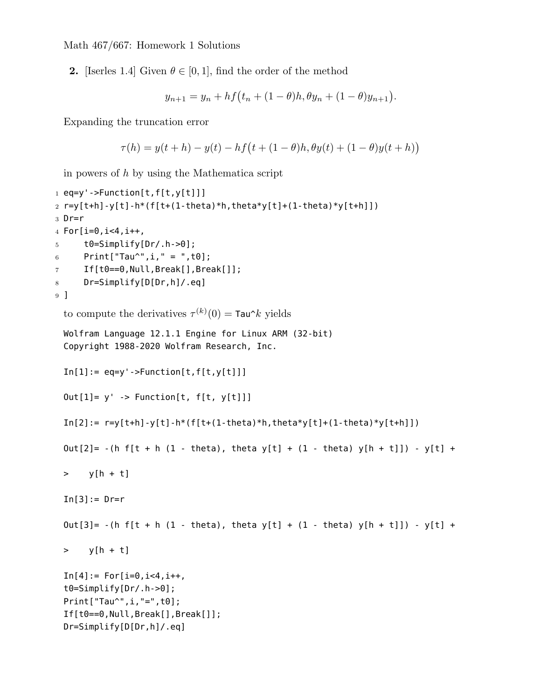**2.** [Iserles 1.4] Given  $\theta \in [0, 1]$ , find the order of the method

$$
y_{n+1} = y_n + h f(t_n + (1 - \theta)h, \theta y_n + (1 - \theta)y_{n+1}).
$$

Expanding the truncation error

$$
\tau(h) = y(t + h) - y(t) - hf(t + (1 - \theta)h, \theta y(t) + (1 - \theta)y(t + h))
$$

in powers of *h* by using the Mathematica script

```
1 eq=y'->Function[t,f[t,y[t]]]
2 r=y[t+h]-y[t]-h*(f[t+(1-theta)*h,theta*y[t]+(1-theta)*y[t+h]])
3 Dr=r
4 For[i=0,i<4,i++,
5 t0=Simplify[Dr/.h->0];
6 Print["Tau^",i," = ",t0];
7 If[t0==0,Null,Break[],Break[]];
8 Dr=Simplify[D[Dr,h]/.eq]
9 ]
  to compute the derivatives \tau^{(k)}(0) = \text{Tau}^k yields
 Wolfram Language 12.1.1 Engine for Linux ARM (32-bit)
 Copyright 1988-2020 Wolfram Research, Inc.
 In[1]:= eq=y'->Function[t, f[t, y[t]]]Out[1] = y' -> Function[t, f[t, y[t]]]In[2]: = r = y[t+h] - y[t] - h*(f[t+(1-theta)*h,theta*y[t]+(1-theta)*y[t+h]])Out[2]= -(h f[t + h (1 - theta), theta y[t] + (1 - \text{theta}) y[h + t]]) - y[t] +> y[h + t]
 In[3]:=Dr=rOut[3]= -(h f[t + h (1 - theta), theta y[t] + (1 - \text{theta}) y[h + t]]) - y[t] +> y[h + t]In[4]:= For[i=0,i<4,i++,t0=Simplify[Dr/.h->0];
 Print["Tau^",i,"=",t0];
 If[t0==0,Null,Break[],Break[]];
 Dr=Simplify[D[Dr,h]/.eq]
```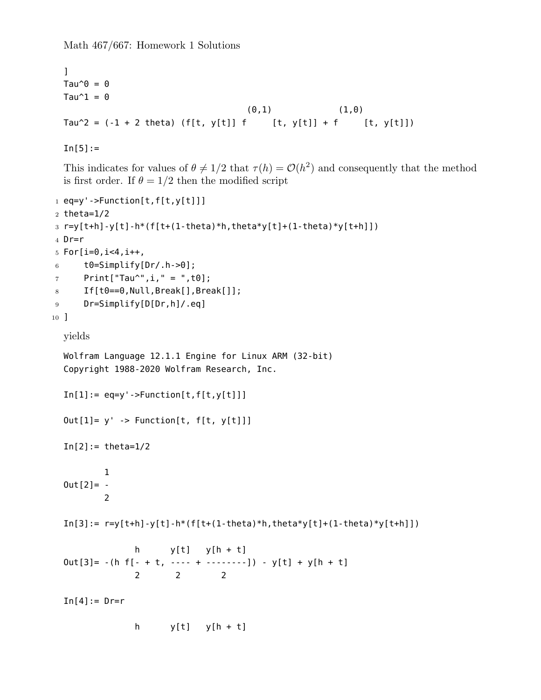```
\mathbf{I}Tau^0 = 0Tau\hat{1} = 0(0,1) (1,0)Tau^2 = (-1 + 2 theta) (f[t, y[t]] f [t, y[t]] + f [t, y[t]])
```
 $In[5]:=$ 

This indicates for values of  $\theta \neq 1/2$  that  $\tau(h) = \mathcal{O}(h^2)$  and consequently that the method is first order. If  $\theta = 1/2$  then the modified script

```
1 eq=y'->Function[t,f[t,y[t]]]
2 theta=1/2
3 r=y[t+h]-y[t]-h*(f[t+(1-theta)*h,theta*y[t]+(1-theta)*y[t+h]])
4 Dr=r
5 For[i=0, i<4, i++,
6 t0=Simplify[Dr/.h->0];
7 Print["Tau^", i, " = ", t0];
8 If[t0==0,Null,Break[],Break[]];
9 Dr=Simplify[D[Dr,h]/.eq]
10 ]
  yields
  Wolfram Language 12.1.1 Engine for Linux ARM (32-bit)
  Copyright 1988-2020 Wolfram Research, Inc.
  In[1]:= eq=y'->Function[t, f[t, y[t]]]Out[1]= y' -> Function[t, f[t, y[t]]]In[2] := \theta = \theta = 1/21
  0ut[2] = -\overline{\phantom{0}}In[3]: = r=y[t+h]-y[t]-h*(f[t+(1-theta)*h,theta*y[t]+(1-theta)*y[t+h]])h y[t] y[h + t]
  Out[3] = -(h f[- + t, --- + ------]) - y[t] + y[h + t]2 2 2
  In[4]:= Dr=rh y[t] y[h + t]
```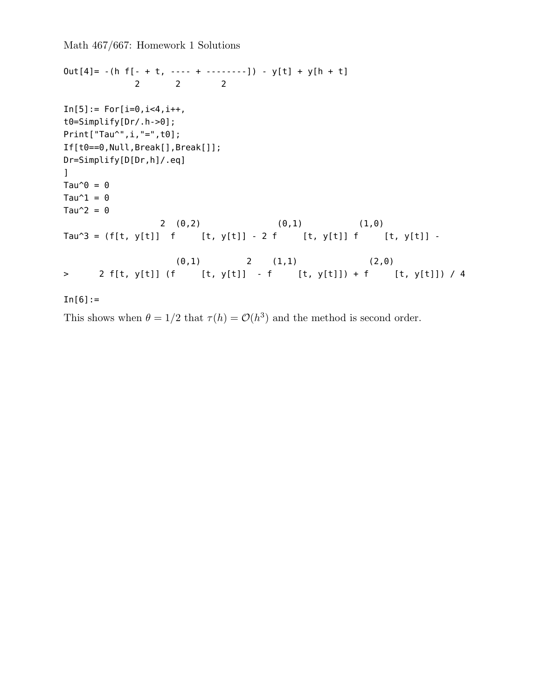```
Out[4] = -(h f[- + t, --- + ------]) - y[t] + y[h + t]2 2 2
In[5]: = For[i=0, i<4, i++,t0=Simplify[Dr/.h->0];
Print["Tau^",i,"=",t0];
If[t0==0,Null,Break[],Break[]];
Dr=Simplify[D[Dr,h]/.eq]
\mathbf{I}Tau^{\wedge}\theta = 0
Tau\hat{1} = 0Tau\hat{2} = 02 (0,2) (0,1) (1,0)Tau^3 = (f[t, y[t]] f [t, y[t]] - 2 f [t, y[t]] f [t, y[t]] -
                 (0,1) 2 (1,1) (2,0)> 2 f[t, y[t]] (f [t, y[t]] - f [t, y[t]]) + f [t, y[t]]) / 4
In [6] :=
```
This shows when  $\theta = 1/2$  that  $\tau(h) = \mathcal{O}(h^3)$  and the method is second order.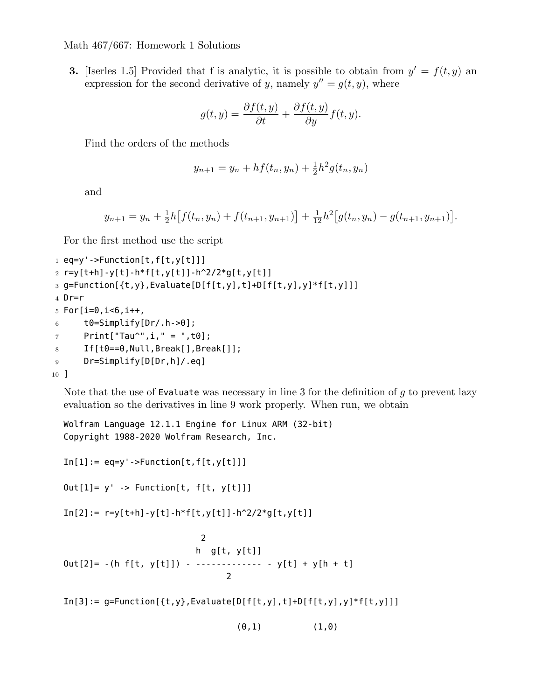**3.** [Iserles 1.5] Provided that f is analytic, it is possible to obtain from  $y' = f(t, y)$  an expression for the second derivative of *y*, namely  $y'' = g(t, y)$ , where

$$
g(t,y) = \frac{\partial f(t,y)}{\partial t} + \frac{\partial f(t,y)}{\partial y} f(t,y).
$$

Find the orders of the methods

$$
y_{n+1} = y_n + h f(t_n, y_n) + \frac{1}{2} h^2 g(t_n, y_n)
$$

and

$$
y_{n+1} = y_n + \frac{1}{2}h[f(t_n, y_n) + f(t_{n+1}, y_{n+1})] + \frac{1}{12}h^2[g(t_n, y_n) - g(t_{n+1}, y_{n+1})].
$$

For the first method use the script

```
1 eq=y'->Function[t,f[t,y[t]]]
2 r=y[t+h]-y[t]-h*f[t,y[t]]-h^2/2*g[t,y[t]]
3 g=Function[{t,y},Evaluate[D[f[t,y],t]+D[f[t,y],y]*f[t,y]]]
4 Dr=r
5 For[i=0, i<0, i++,
6 t0=Simplify[Dr/.h->0];
7 Print["Tau^",i," = ",t0];
8 If[t0==0,Null,Break[],Break[]];
9 Dr=Simplify[D[Dr,h]/.eq]
10 ]
```
Note that the use of Evaluate was necessary in line 3 for the definition of *g* to prevent lazy evaluation so the derivatives in line 9 work properly. When run, we obtain

```
Wolfram Language 12.1.1 Engine for Linux ARM (32-bit)
Copyright 1988-2020 Wolfram Research, Inc.
```

```
In[1]:= eq=y'->Function[t, f[t, y[t]]]
```
 $Out[1] = y'$  -> Function[t, f[t, y[t]]]

 $In[2]: = r=y[t+h]-y[t]-h*f[t,y[t]]-h^2/2*g[t,y[t]]$ 

```
2
                          h g[t, y[t]]
Out[2] = -(h f[t, y[t]]) - ------------ - y[t] + y[h + t]
                                2
```
 $In[3]:= g=Function[\{t,y\},Evaluate[D[f[t,y],t]+D[f[t,y],y]*f[t,y]]]$ 

 $(0,1)$   $(1,0)$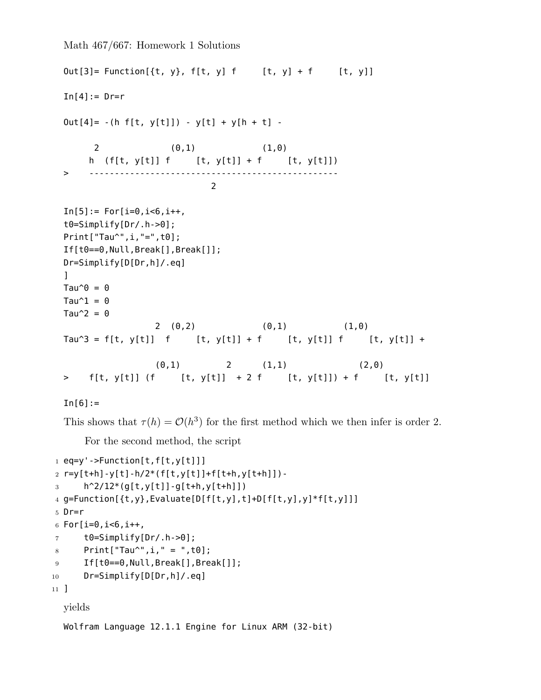```
Out[3] = Function[{t, y}, f[t, y] f [t, y] + f [t, y]]In[4]:= Dr=rOut[4] = -(h f[t, y[t]]) - y[t] + y[h + t] -2 (0,1) (1,0)
    h (f[t, y[t]] f [t, y[t]] + f [t, y[t]])
> -------------------------------------------------
                        2
In[5]: = For[i=0, i<6, i++,t0=Simplify[Dr/.h->0];
Print["Tau^",i,"=",t0];
If[t0==0,Null,Break[],Break[]];
Dr=Simplify[D[Dr,h]/.eq]
\mathbf{1}Tau^0 = 0Tau\hat{1} = 0Tau\hat{2} = 02 (0,2) (0,1) (1,0)Tau^3 = f[t, y[t]] f [t, y[t]] + f [t, y[t]] f [t, y[t]] +
              (0,1) 2 (1,1) (2,0)> f[t, y[t]] (f [t, y[t]] + 2 f [t, y[t]]) + f [t, y[t]]
```

```
In [6] :=
```
This shows that  $\tau(h) = \mathcal{O}(h^3)$  for the first method which we then infer is order 2.

For the second method, the script

```
1 eq=y'->Function[t,f[t,y[t]]]
2 r=y[t+h]-y[t]-h/2*(f[t,y[t]]+f[t+h,y[t+h]])-
3 h<sup>2</sup>/12<sup>*</sup>(g[t,y[t]]-g[t+h,y[t+h]])
4 g=Function[{t,y},Evaluate[D[f[t,y],t]+D[f[t,y],y]*f[t,y]]]
5 Dr=r
6 For[i=0, i<0, i++,
7 t0=Simplify[Dr/.h->0];
8 Print["Tau^",i," = ",t0];
9 If[t0==0,Null,Break[],Break[]];
10 Dr=Simplify[D[Dr,h]/.eq]
11 ]
  yields
```
Wolfram Language 12.1.1 Engine for Linux ARM (32-bit)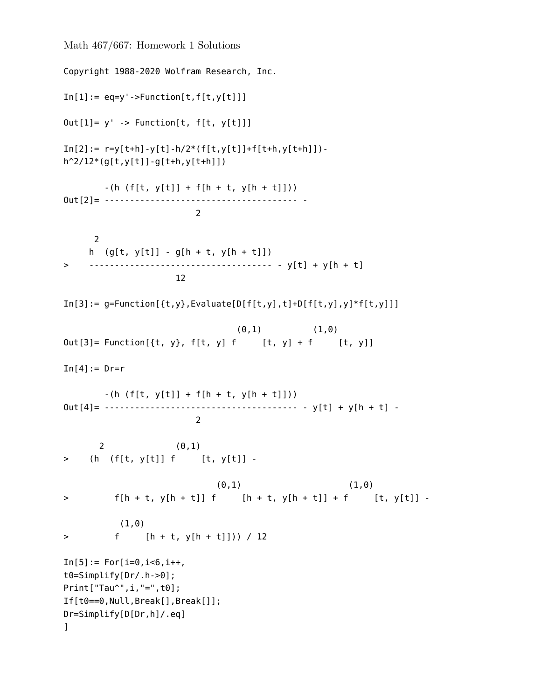```
Math 467/667: Homework 1 Solutions
Copyright 1988-2020 Wolfram Research, Inc.
In[1]:=eq=y'-\geq Function[t,f[t,y[t]]]Out[1]= y' -> Function[t, f[t, y[t]]]
In[2]: = r=y[t+h]-y[t]-h/2*(f[t,y[t]]+f[t+h,y[t+h]]).h^2/12*(g[t,y[t]]-g[t+h,y[t+h]])-(h(f[t, y[t]) + f[h + t, y[h + t]]))Out[2]= -------------------------------------- -
                        \mathcal{L}2
    h (g[t, y[t]] - g[h + t, y[h + t]])> ------------------------------------ - y[t] + y[h + t]
                    12
In[3]:= g=Function[\{t,y\}, Evaluate[D[f[t,y],t]+D[f[t,y],y]*f[t,y]](0,1) (1,0)Out[3] = Function[\{t, y\}, f[t, y] f [t, y] + f [t, y]]In[4]:=Dr=r-(h(f[t, y[t]) + f[h + t, y[h + t]]))Out[4]= -------------------------------------- - y[t] + y[h + t] -
                        2
      2 (0,1)
> (h (f[t, y[t]] f [t, y[t]] -
                           (0,1) (1,0)> f[h + t, y[h + t]] f [h + t, y[h + t]] + f [t, y[t]] -
          (1,0)
> f [h + t, y[h + t]])) / 12
In[5]: = For[i=0, i<6, i++,t0=Simplify[Dr/.h->0];
Print["Tau^",i,"=",t0];
If[t0==0,Null,Break[],Break[]];
Dr=Simplify[D[Dr,h]/.eq]
\mathbf{1}
```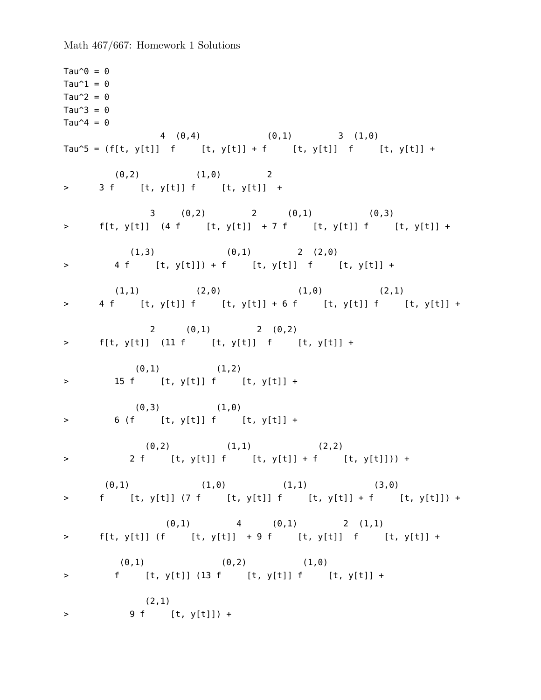Tau $^{\wedge}$  $\theta = 0$ Tau $\hat{1} = 0$ Tau $\hat{2} = 0$ Tau $\hat{3} = 0$ Tau $\hat{ }$ 4 = 0 4 (0,4) (0,1) 3 (1,0) Tau^5 = (f[t, y[t]] f [t, y[t]] + f [t, y[t]] f [t, y[t]] +  $(0,2)$   $(1,0)$  2 > 3 f [t, y[t]] f [t, y[t]] + 3 (0,2) 2 (0,1) (0,3) > f[t, y[t]] (4 f [t, y[t]] + 7 f [t, y[t]] f [t, y[t]] +  $(1,3)$   $(0,1)$   $2$   $(2,0)$ > 4 f [t, y[t]]) + f [t, y[t]] f [t, y[t]] +  $(1,1)$   $(2,0)$   $(1,0)$   $(2,1)$ > 4 f [t, y[t]] f [t, y[t]] + 6 f [t, y[t]] f [t, y[t]] + 2 (0,1) 2 (0,2)  $>$  f[t, y[t]] (11 f [t, y[t]] f [t, y[t]] +  $(0,1)$   $(1,2)$ > 15 f [t, y[t]] f [t, y[t]] +  $(0,3)$   $(1,0)$ > 6 (f [t, y[t]] f [t, y[t]] +  $(0,2)$   $(1,1)$   $(2,2)$ > 2 f [t, y[t]] f [t, y[t]] + f [t, y[t]])) +  $(0,1)$   $(1,0)$   $(1,1)$   $(3,0)$ > f [t, y[t]] (7 f [t, y[t]] f [t, y[t]] + f [t, y[t]]) +  $(0,1)$  4  $(0,1)$  2  $(1,1)$ >  $f[t, y[t]] (f [t, y[t]] + 9 f [t, y[t]] f [t, y[t]] +$  $(0,1)$   $(0,2)$   $(1,0)$ > f [t, y[t]] (13 f [t, y[t]] f [t, y[t]] + (2,1) > 9 f [t, y[t]]) +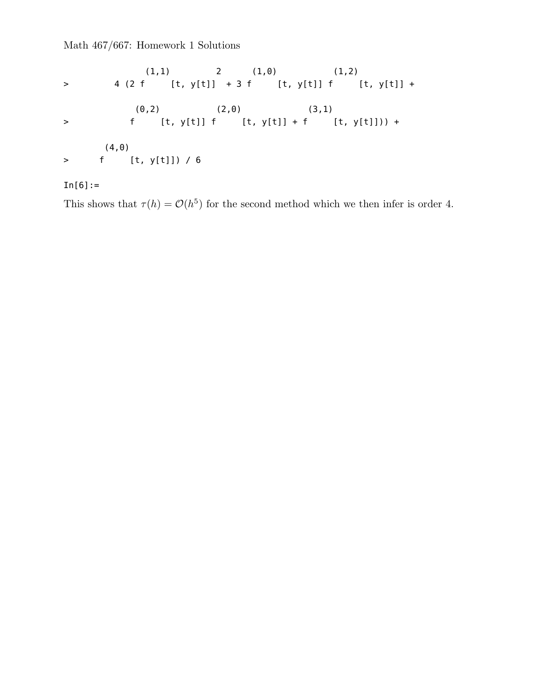$(1,1)$  2  $(1,0)$   $(1,2)$ > 4 (2 f [t, y[t]] + 3 f [t, y[t]] f [t, y[t]] +  $(0,2)$   $(2,0)$   $(3,1)$ > f [t, y[t]] f [t, y[t]] + f [t, y[t]])) + (4,0) > f [t, y[t]]) / 6

## $In[6]:=$

This shows that  $\tau(h) = \mathcal{O}(h^5)$  for the second method which we then infer is order 4.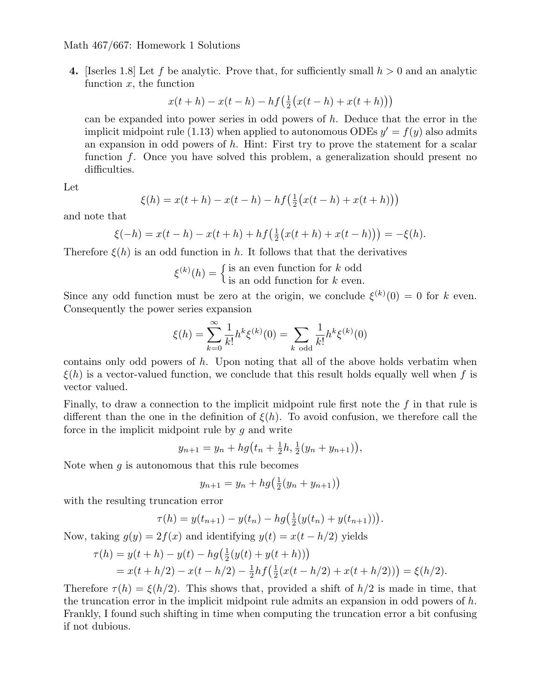**4.** [Iserles 1.8] Let *f* be analytic. Prove that, for sufficiently small *h >* 0 and an analytic function *x*, the function

$$
x(t+h) - x(t-h) - hf\left(\frac{1}{2}\big(x(t-h) + x(t+h)\big)\right)
$$

can be expanded into power series in odd powers of *h*. Deduce that the error in the implicit midpoint rule (1.13) when applied to autonomous ODEs  $y' = f(y)$  also admits an expansion in odd powers of *h*. Hint: First try to prove the statement for a scalar function f. Once you have solved this problem, a generalization should present no difficulties.

Let

$$
\xi(h) = x(t+h) - x(t-h) - hf\left(\frac{1}{2}(x(t-h) + x(t+h))\right)
$$

and note that

$$
\xi(-h) = x(t-h) - x(t+h) + hf\left(\frac{1}{2}(x(t+h) + x(t-h))\right) = -\xi(h).
$$

Therefore  $\xi(h)$  is an odd function in h. It follows that that the derivatives

 $\xi^{(k)}(h) = \begin{cases}$  is an even function for *k* odd is an odd function for *k* even*.*

Since any odd function must be zero at the origin, we conclude  $\xi^{(k)}(0) = 0$  for *k* even. Consequently the power series expansion

$$
\xi(h) = \sum_{k=0}^{\infty} \frac{1}{k!} h^k \xi^{(k)}(0) = \sum_{k \text{ odd}} \frac{1}{k!} h^k \xi^{(k)}(0)
$$

contains only odd powers of *h*. Upon noting that all of the above holds verbatim when *ξ*(*h*) is a vector-valued function, we conclude that this result holds equally well when *f* is vector valued.

Finally, to draw a connection to the implicit midpoint rule first note the *f* in that rule is different than the one in the definition of  $\xi(h)$ . To avoid confusion, we therefore call the force in the implicit midpoint rule by *g* and write

$$
y_{n+1} = y_n + hg(t_n + \frac{1}{2}h, \frac{1}{2}(y_n + y_{n+1})),
$$

Note when *g* is autonomous that this rule becomes

$$
y_{n+1} = y_n + hg(\frac{1}{2}(y_n + y_{n+1}))
$$

with the resulting truncation error

$$
\tau(h) = y(t_{n+1}) - y(t_n) - hg\left(\frac{1}{2}(y(t_n) + y(t_{n+1}))\right).
$$

Now, taking  $g(y) = 2f(x)$  and identifying  $y(t) = x(t - h/2)$  yields

$$
\tau(h) = y(t+h) - y(t) - hg\left(\frac{1}{2}(y(t) + y(t+h))\right)
$$
  
=  $x(t+h/2) - x(t-h/2) - \frac{1}{2}hf\left(\frac{1}{2}(x(t-h/2) + x(t+h/2))\right) = \xi(h/2).$ 

Therefore  $\tau(h) = \xi(h/2)$ . This shows that, provided a shift of  $h/2$  is made in time, that the truncation error in the implicit midpoint rule admits an expansion in odd powers of *h*. Frankly, I found such shifting in time when computing the truncation error a bit confusing if not dubious.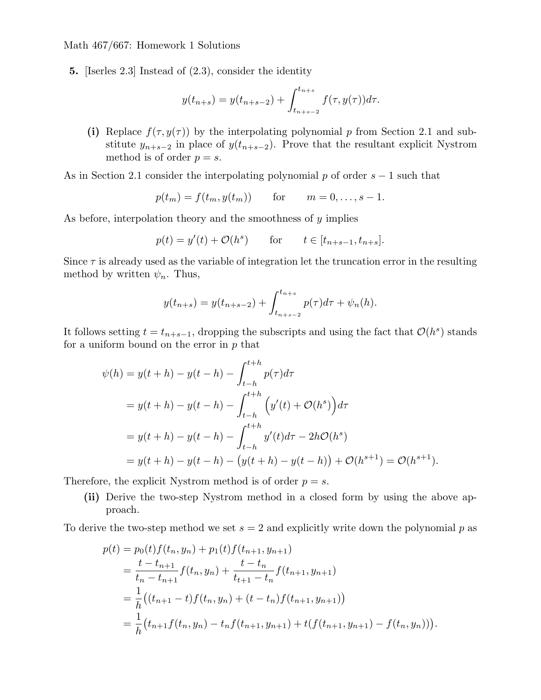**5.** [Iserles 2.3] Instead of (2.3), consider the identity

$$
y(t_{n+s}) = y(t_{n+s-2}) + \int_{t_{n+s-2}}^{t_{n+s}} f(\tau, y(\tau)) d\tau.
$$

(i) Replace  $f(\tau, y(\tau))$  by the interpolating polynomial p from Section 2.1 and substitute  $y_{n+s-2}$  in place of  $y(t_{n+s-2})$ . Prove that the resultant explicit Nystrom method is of order  $p = s$ .

As in Section 2.1 consider the interpolating polynomial *p* of order *s −* 1 such that

$$
p(t_m) = f(t_m, y(t_m))
$$
 for  $m = 0, ..., s - 1$ .

As before, interpolation theory and the smoothness of *y* implies

$$
p(t) = y'(t) + \mathcal{O}(h^{s})
$$
 for  $t \in [t_{n+s-1}, t_{n+s}].$ 

Since  $\tau$  is already used as the variable of integration let the truncation error in the resulting method by written  $\psi_n$ . Thus,

$$
y(t_{n+s}) = y(t_{n+s-2}) + \int_{t_{n+s-2}}^{t_{n+s}} p(\tau) d\tau + \psi_n(h).
$$

It follows setting  $t = t_{n+s-1}$ , dropping the subscripts and using the fact that  $\mathcal{O}(h^s)$  stands for a uniform bound on the error in *p* that

$$
\psi(h) = y(t+h) - y(t-h) - \int_{t-h}^{t+h} p(\tau) d\tau
$$
  
=  $y(t+h) - y(t-h) - \int_{t-h}^{t+h} (y'(t) + \mathcal{O}(h^s)) d\tau$   
=  $y(t+h) - y(t-h) - \int_{t-h}^{t+h} y'(t) d\tau - 2h\mathcal{O}(h^s)$   
=  $y(t+h) - y(t-h) - (y(t+h) - y(t-h)) + \mathcal{O}(h^{s+1}) = \mathcal{O}(h^{s+1}).$ 

Therefore, the explicit Nystrom method is of order  $p = s$ .

**(ii)** Derive the two-step Nystrom method in a closed form by using the above approach.

To derive the two-step method we set  $s = 2$  and explicitly write down the polynomial  $p$  as

$$
p(t) = p_0(t)f(t_n, y_n) + p_1(t)f(t_{n+1}, y_{n+1})
$$
  
=  $\frac{t - t_{n+1}}{t_n - t_{n+1}}f(t_n, y_n) + \frac{t - t_n}{t_{n+1} - t_n}f(t_{n+1}, y_{n+1})$   
=  $\frac{1}{h}((t_{n+1} - t)f(t_n, y_n) + (t - t_n)f(t_{n+1}, y_{n+1}))$   
=  $\frac{1}{h}(t_{n+1}f(t_n, y_n) - t_nf(t_{n+1}, y_{n+1}) + t(f(t_{n+1}, y_{n+1}) - f(t_n, y_n))).$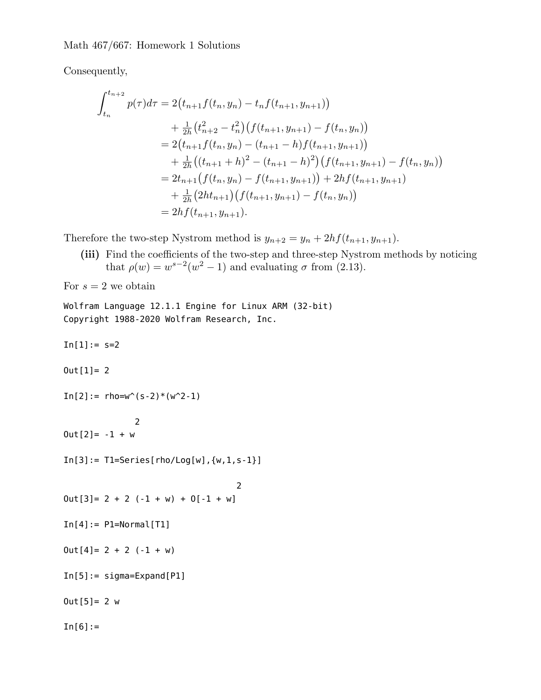Consequently,

$$
\int_{t_n}^{t_{n+2}} p(\tau) d\tau = 2(t_{n+1}f(t_n, y_n) - t_n f(t_{n+1}, y_{n+1}))
$$
\n
$$
+ \frac{1}{2h} (t_{n+2}^2 - t_n^2) (f(t_{n+1}, y_{n+1}) - f(t_n, y_n))
$$
\n
$$
= 2(t_{n+1}f(t_n, y_n) - (t_{n+1} - h)f(t_{n+1}, y_{n+1}))
$$
\n
$$
+ \frac{1}{2h} ((t_{n+1} + h)^2 - (t_{n+1} - h)^2) (f(t_{n+1}, y_{n+1}) - f(t_n, y_n))
$$
\n
$$
= 2t_{n+1} (f(t_n, y_n) - f(t_{n+1}, y_{n+1})) + 2hf(t_{n+1}, y_{n+1})
$$
\n
$$
+ \frac{1}{2h} (2ht_{n+1}) (f(t_{n+1}, y_{n+1}) - f(t_n, y_n))
$$
\n
$$
= 2hf(t_{n+1}, y_{n+1}).
$$

Therefore the two-step Nystrom method is  $y_{n+2} = y_n + 2hf(t_{n+1}, y_{n+1})$ .

**(iii)** Find the coefficients of the two-step and three-step Nystrom methods by noticing that  $\rho(w) = w^{s-2}(w^2 - 1)$  and evaluating  $\sigma$  from (2.13).

For  $s = 2$  we obtain

Wolfram Language 12.1.1 Engine for Linux ARM (32-bit) Copyright 1988-2020 Wolfram Research, Inc.

 $In[1]: = s=2$ 

 $Out[1]= 2$ 

```
In[2]:=rho=w^{(s-2)*(w^2-1)}
```
2  $0ut[2] = -1 + w$ 

 $In[3]:= 71 = Series[rho/Log[w], \{w, 1, s-1\}]$ 

```
2
0ut[3] = 2 + 2 (-1 + w) + 0[-1 + w]
```

```
In[4]:= P1=Normal[T1]
```
 $0ut[4] = 2 + 2 (-1 + w)$ 

In[5]:= sigma=Expand[P1]

 $Out[5] = 2 w$ 

 $In[6]:=$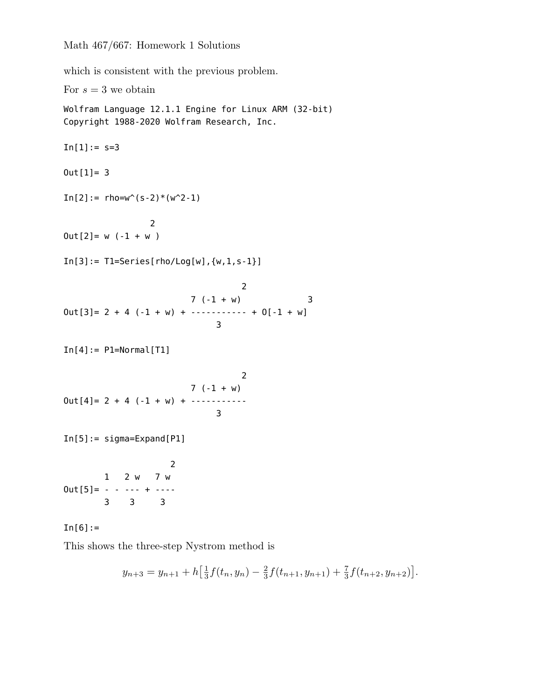which is consistent with the previous problem.

For  $s = 3$  we obtain Wolfram Language 12.1.1 Engine for Linux ARM (32-bit) Copyright 1988-2020 Wolfram Research, Inc.  $In[1]: = s=3$ Out[1]= 3  $In[2]:=rho=w^{(s-2)*(w^{2}-1)$ 2  $Out[2] = w (-1 + w)$  $In[3]: = TI=Series[rho/Log[w], \{w, 1, s-1\}]$ 2  $7 (-1 + w)$  3  $0$ ut[3] = 2 + 4 (-1 + w) + ----------- + 0[-1 + w] 3  $In[4]:=$  P1=Normal[T1] 2 7 (-1 + w)  $Out[4] = 2 + 4 (-1 + w) + \cdots$ 3 In[5]:= sigma=Expand[P1] 2 1 2 w 7 w  $Out[5] = - - - - - + - - -$ 3 3 3  $In [6] :=$ 

This shows the three-step Nystrom method is

$$
y_{n+3} = y_{n+1} + h\left[\frac{1}{3}f(t_n, y_n) - \frac{2}{3}f(t_{n+1}, y_{n+1}) + \frac{7}{3}f(t_{n+2}, y_{n+2})\right].
$$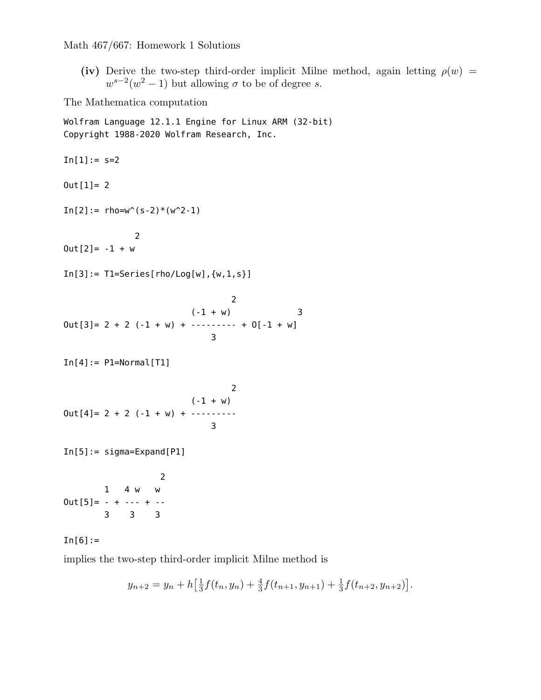**(iv)** Derive the two-step third-order implicit Milne method, again letting  $\rho(w)$  =  $w^{s-2}(w^2-1)$  but allowing  $\sigma$  to be of degree *s*.

The Mathematica computation

Wolfram Language 12.1.1 Engine for Linux ARM (32-bit) Copyright 1988-2020 Wolfram Research, Inc.

 $In[1]: = s=2$  $Out[1] = 2$  $In[2]:=rho-w^{(s-2)*(w^2-1)}$ 2  $0ut[2] = -1 + w$  $In[3]: = TI = Series[rho/Log[w], \{w, 1, s\}]$ 2  $(-1 + w)$  3  $Out[3] = 2 + 2 (-1 + w) + \cdots + 0[-1 + w]$ 3  $In[4]:=$  P1=Normal[T1] 2  $(-1 + w)$  $Out[4] = 2 + 2 (-1 + w) + \cdots$ 3 In[5]:= sigma=Expand[P1] 2 1 4 w w  $0$ ut  $[5] = - + - - - + - -$ 3 3 3

## $In [6] :=$

implies the two-step third-order implicit Milne method is

$$
y_{n+2} = y_n + h\left[\frac{1}{3}f(t_n, y_n) + \frac{4}{3}f(t_{n+1}, y_{n+1}) + \frac{1}{3}f(t_{n+2}, y_{n+2})\right].
$$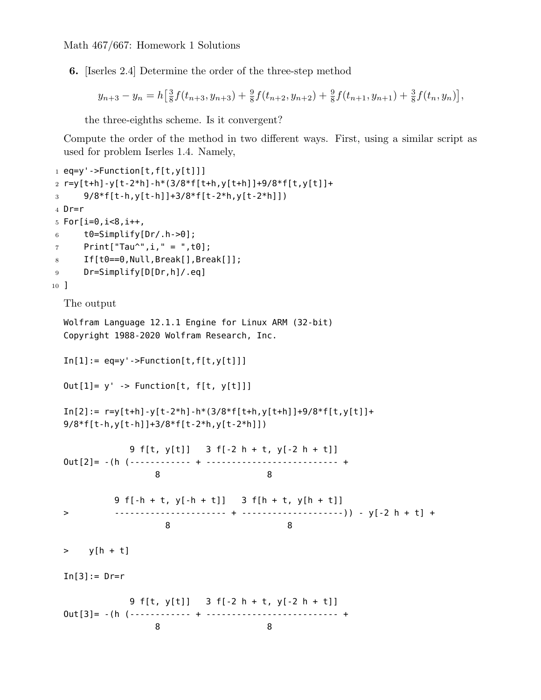**6.** [Iserles 2.4] Determine the order of the three-step method

$$
y_{n+3} - y_n = h\left[\frac{3}{8}f(t_{n+3}, y_{n+3}) + \frac{9}{8}f(t_{n+2}, y_{n+2}) + \frac{9}{8}f(t_{n+1}, y_{n+1}) + \frac{3}{8}f(t_n, y_n)\right],
$$

the three-eighths scheme. Is it convergent?

Compute the order of the method in two different ways. First, using a similar script as used for problem Iserles 1.4. Namely,

```
1 eq=y'->Function[t,f[t,y[t]]]
2 r=y[t+h]-y[t-2*h]-h*(3/8*f[t+h,y[t+h]]+9/8*f[t,y[t]]+
3 9/8*f[t-h,y[t-h]]+3/8*f[t-2*h,y[t-2*h]])
4 Dr=r
5 For[i=0, i<8, i++,
6 t0=Simplify[Dr/.h->0];
7 Print["Tau^",i," = ",t0];
8 If[t0==0, Null, Break[], Break[]];
9 Dr=Simplify[D[Dr,h]/.eq]
10 ]
  The output
  Wolfram Language 12.1.1 Engine for Linux ARM (32-bit)
  Copyright 1988-2020 Wolfram Research, Inc.
  In[1]:= eq=y'->Function[t, f[t, y[t]]]Out[1] = y' -> Function[t, f[t, y[t]]]
  In[2]: = r=y[t+h]-y[t-2*h]-h*(3/8*f[t+h,y[t+h]]+9/8*f[t,y[t]]+9/8*f[t-h,y[t-h]]+3/8*f[t-2*h,y[t-2*h]])
             9 f[t, y[t]] 3 f[-2 h + t, y[-2 h + t]]
  Out[2]= -(h (------------ + -------------------------- +
                  8 8
           9 f[-h + t, y[-h + t]] 3 f[h + t, y[h + t]]
  > ---------------------- + --------------------)) - y[-2 h + t] +
                    8 8
  > y[h + t]
  In[3]:=Dr=r9 f[t, y[t]] 3 f[-2 h + t, y[-2 h + t]]
  Out[3]= -(h (------------ + -------------------------- +
                  8 8
```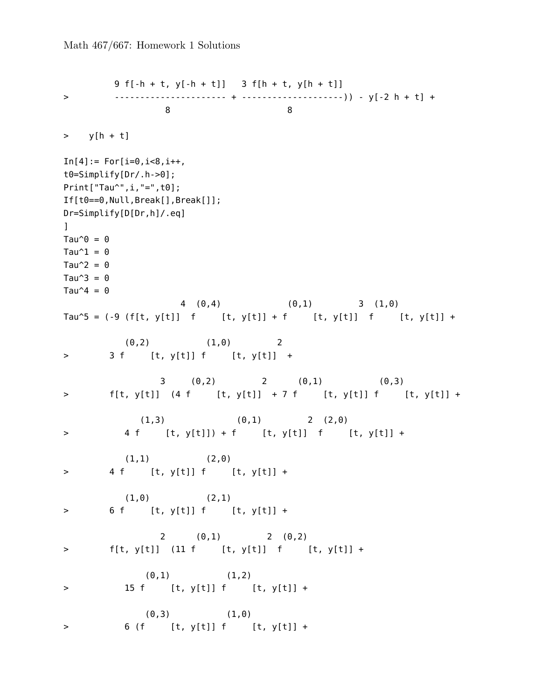```
9 f[-h + t, y[-h + t]] 3 f[h + t, y[h + t]]
> ---------------------- + --------------------)) - y[-2 h + t] +
               8 8
> y[h + t]In[4]: = For[i=0, i<8, i++,t0=Simplify[Dr/.h->0];
Print["Tau^",i,"=",t0];
If[t0==0,Null,Break[],Break[]];
Dr=Simplify[D[Dr,h]/.eq]
\mathbf{I}Tau^{\circ}\theta = 0
Tau\hat{}1 = 0Tau\hat{2} = 0Tau\hat{3} = 0Tau\hat{ }4 = 0
                4 (0,4) (0,1) 3 (1,0)
Tau^5 = (-9 (f[t, y[t]] f [t, y[t]] + f [t, y[t]] f [t, y[t]] +
        (0,2) (1,0) 2
> 3 f [t, y[t]] f [t, y[t]] +
            3 (0,2) 2 (0,1) (0,3)
> f[t, y[t]] (4 f [t, y[t]] + 7 f [t, y[t]] f [t, y[t]] +
          (1,3) (0,1) 2 (2,0)> 4 f [t, y[t]]) + f [t, y[t]] f [t, y[t]] +
       (1,1) (2,0)> 4 f [t, y[t]] f [t, y[t]] +
        (1,0) (2,1)> 6 f [t, y[t]] f [t, y[t]] +
             2 (0,1) 2 (0,2)
> f[t, y[t]] (11 f [t, y[t]] f [t, y[t]] +
          (0,1) (1,2)> 15 f [t, y[t]] f [t, y[t]] +
          (0,3) (1,0)> 6 (f [t, y[t]] f [t, y[t]] +
```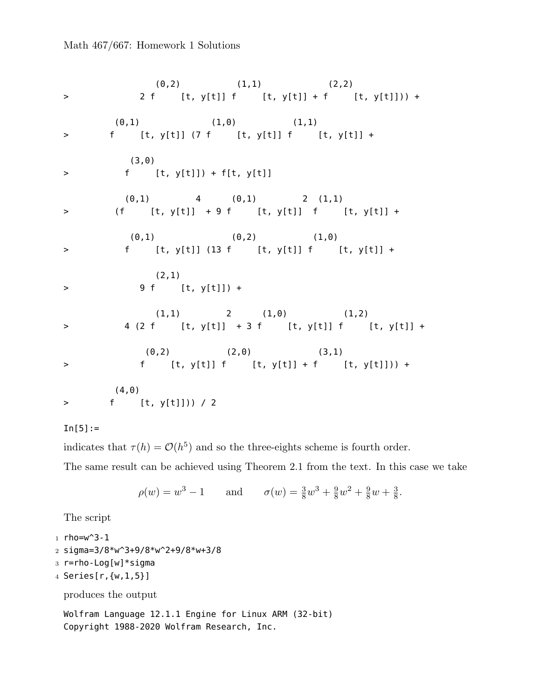$(0,2)$   $(1,1)$   $(2,2)$ > 2 f [t, y[t]] f [t, y[t]] + f [t, y[t]])) +  $(0,1)$   $(1,0)$   $(1,1)$ > f [t, y[t]] (7 f [t, y[t]] f [t, y[t]] + (3,0) > f [t, y[t]]) + f[t, y[t]] (0,1) 4 (0,1) 2 (1,1) > (f [t, y[t]] + 9 f [t, y[t]] f [t, y[t]] +  $(0,1)$   $(0,2)$   $(1,0)$ > f [t, y[t]] (13 f [t, y[t]] f [t, y[t]] + (2,1) > 9 f [t, y[t]]) +  $(1,1)$  2  $(1,0)$   $(1,2)$ > 4 (2 f [t, y[t]] + 3 f [t, y[t]] f [t, y[t]] +  $(0,2)$   $(2,0)$   $(3,1)$ > f [t, y[t]] f [t, y[t]] + f [t, y[t]])) + (4,0) > f [t, y[t]])) / 2

## $In[5]:=$

indicates that  $\tau(h) = \mathcal{O}(h^5)$  and so the three-eights scheme is fourth order.

The same result can be achieved using Theorem 2.1 from the text. In this case we take

$$
\rho(w) = w^3 - 1
$$
 and  $\sigma(w) = \frac{3}{8}w^3 + \frac{9}{8}w^2 + \frac{9}{8}w + \frac{3}{8}$ .

The script

1  $rho=w^3-1$ 

- 2 sigma=3/8\*w^3+9/8\*w^2+9/8\*w+3/8
- 3 r=rho-Log[w]\*sigma
- 4 Series[r,{w,1,5}]

produces the output

Wolfram Language 12.1.1 Engine for Linux ARM (32-bit) Copyright 1988-2020 Wolfram Research, Inc.